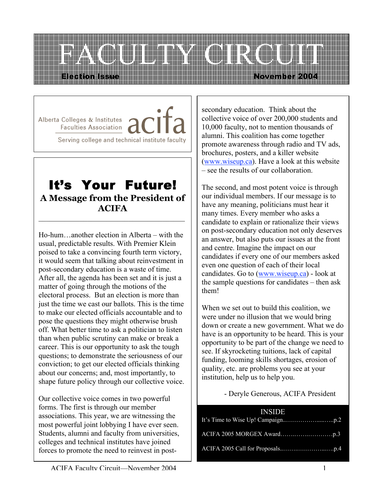

Alberta Colleges & Institutes / Faculties Association Serving college and technical institute faculty

## It's Your Future! **A Message from the President of ACIFA**  $\mathcal{L}_\text{max}$  and  $\mathcal{L}_\text{max}$  and  $\mathcal{L}_\text{max}$  and  $\mathcal{L}_\text{max}$

Ho-hum…another election in Alberta – with the usual, predictable results. With Premier Klein poised to take a convincing fourth term victory, it would seem that talking about reinvestment in post-secondary education is a waste of time. After all, the agenda has been set and it is just a matter of going through the motions of the electoral process. But an election is more than just the time we cast our ballots. This is the time to make our elected officials accountable and to pose the questions they might otherwise brush off. What better time to ask a politician to listen than when public scrutiny can make or break a career. This is our opportunity to ask the tough questions; to demonstrate the seriousness of our conviction; to get our elected officials thinking about our concerns; and, most importantly, to shape future policy through our collective voice.

Our collective voice comes in two powerful forms. The first is through our member associations. This year, we are witnessing the most powerful joint lobbying I have ever seen. Students, alumni and faculty from universities, colleges and technical institutes have joined forces to promote the need to reinvest in postsecondary education. Think about the collective voice of over 200,000 students and 10,000 faculty, not to mention thousands of alumni. This coalition has come together promote awareness through radio and TV ads, brochures, posters, and a killer website (www.wiseup.ca). Have a look at this website – see the results of our collaboration.

The second, and most potent voice is through our individual members. If our message is to have any meaning, politicians must hear it many times. Every member who asks a candidate to explain or rationalize their views on post-secondary education not only deserves an answer, but also puts our issues at the front and centre. Imagine the impact on our candidates if every one of our members asked even one question of each of their local candidates. Go to (www.wiseup.ca) - look at the sample questions for candidates – then ask them!

When we set out to build this coalition, we were under no illusion that we would bring down or create a new government. What we do have is an opportunity to be heard. This is your opportunity to be part of the change we need to see. If skyrocketing tuitions, lack of capital funding, looming skills shortages, erosion of quality, etc. are problems you see at your institution, help us to help you.

- Deryle Generous, ACIFA President

| <b>Example INSIDE</b> |
|-----------------------|
|                       |
|                       |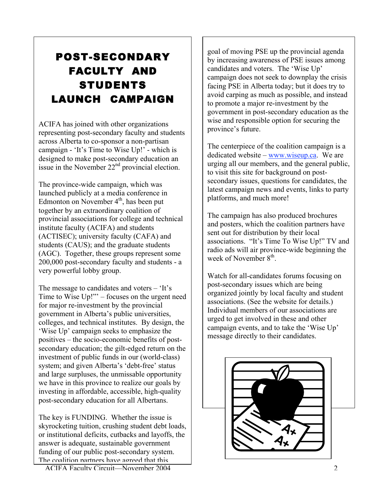# POST-SECONDARY FACULTY AND STUDENTS LAUNCH CAMPAIGN

ACIFA has joined with other organizations representing post-secondary faculty and students across Alberta to co-sponsor a non-partisan campaign - 'It's Time to Wise Up!' - which is designed to make post-secondary education an issue in the November  $22<sup>nd</sup>$  provincial election.

The province-wide campaign, which was launched publicly at a media conference in Edmonton on November  $4<sup>th</sup>$ , has been put together by an extraordinary coalition of provincial associations for college and technical institute faculty (ACIFA) and students (ACTISEC); university faculty (CAFA) and students (CAUS); and the graduate students (AGC). Together, these groups represent some 200,000 post-secondary faculty and students - a very powerful lobby group.

The message to candidates and voters – 'It's Time to Wise Up!"' – focuses on the urgent need for major re-investment by the provincial government in Alberta's public universities, colleges, and technical institutes. By design, the 'Wise Up' campaign seeks to emphasize the positives – the socio-economic benefits of postsecondary education; the gilt-edged return on the investment of public funds in our (world-class) system; and given Alberta's 'debt-free' status and large surpluses, the unmissable opportunity we have in this province to realize our goals by investing in affordable, accessible, high-quality post-secondary education for all Albertans.

The key is FUNDING. Whether the issue is skyrocketing tuition, crushing student debt loads, or institutional deficits, cutbacks and layoffs, the answer is adequate, sustainable government funding of our public post-secondary system. The coalition nartners have agreed that this

ACIFA Faculty Circuit—November 2004 2

goal of moving PSE up the provincial agenda by increasing awareness of PSE issues among candidates and voters. The 'Wise Up' campaign does not seek to downplay the crisis facing PSE in Alberta today; but it does try to avoid carping as much as possible, and instead to promote a major re-investment by the government in post-secondary education as the wise and responsible option for securing the province's future.

The centerpiece of the coalition campaign is a dedicated website – www.wiseup.ca. We are urging all our members, and the general public, to visit this site for background on postsecondary issues, questions for candidates, the latest campaign news and events, links to party platforms, and much more!

The campaign has also produced brochures and posters, which the coalition partners have sent out for distribution by their local associations. "It's Time To Wise Up!" TV and radio ads will air province-wide beginning the week of November 8<sup>th</sup>.

Watch for all-candidates forums focusing on post-secondary issues which are being organized jointly by local faculty and student associations. (See the website for details.) Individual members of our associations are urged to get involved in these and other campaign events, and to take the 'Wise Up' message directly to their candidates.

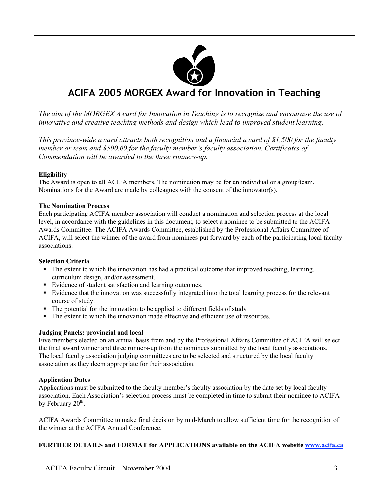

## **ACIFA 2005 MORGEX Award for Innovation in Teaching**

*The aim of the MORGEX Award for Innovation in Teaching is to recognize and encourage the use of innovative and creative teaching methods and design which lead to improved student learning.*

*This province-wide award attracts both recognition and a financial award of \$1,500 for the faculty member or team and \$500.00 for the faculty member's faculty association. Certificates of Commendation will be awarded to the three runners-up.*

#### **Eligibility**

The Award is open to all ACIFA members. The nomination may be for an individual or a group/team. Nominations for the Award are made by colleagues with the consent of the innovator(s).

#### The Nomination Process

Each participating ACIFA member association will conduct a nomination and selection process at the local level, in accordance with the guidelines in this document, to select a nominee to be submitted to the ACIFA Awards Committee. The ACIFA Awards Committee, established by the Professional Affairs Committee of ACIFA, will select the winner of the award from nominees put forward by each of the participating local faculty associations.

#### Selection Criteria

- The extent to which the innovation has had a practical outcome that improved teaching, learning, curriculum design, and/or assessment.
- Evidence of student satisfaction and learning outcomes.
- Evidence that the innovation was successfully integrated into the total learning process for the relevant course of study.
- The potential for the innovation to be applied to different fields of study
- The extent to which the innovation made effective and efficient use of resources.

#### Judging Panels: provincial and local

Five members elected on an annual basis from and by the Professional Affairs Committee of ACIFA will select the final award winner and three runners-up from the nominees submitted by the local faculty associations. The local faculty association judging committees are to be selected and structured by the local faculty association as they deem appropriate for their association.

#### Application Dates

Applications must be submitted to the faculty member's faculty association by the date set by local faculty association. Each Association's selection process must be completed in time to submit their nominee to ACIFA by February  $20<sup>th</sup>$ .

ACIFA Awards Committee to make final decision by mid-March to allow sufficient time for the recognition of the winner at the ACIFA Annual Conference.

#### FURTHER DETAILS and FORMAT for APPLICATIONS available on the ACIFA website www.acifa.ca